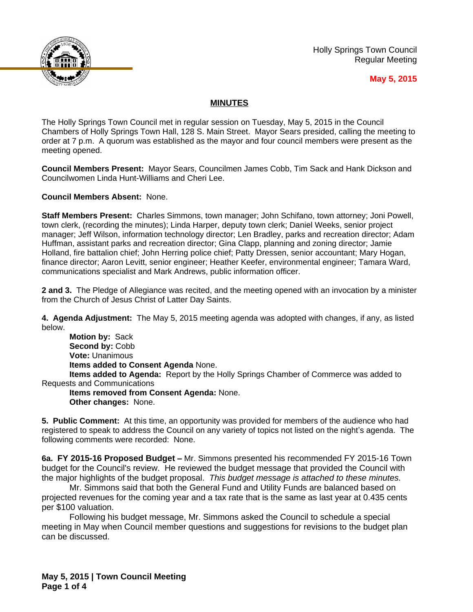

Holly Springs Town Council Regular Meeting

## **May 5, 2015**

## **MINUTES**

The Holly Springs Town Council met in regular session on Tuesday, May 5, 2015 in the Council Chambers of Holly Springs Town Hall, 128 S. Main Street. Mayor Sears presided, calling the meeting to order at 7 p.m. A quorum was established as the mayor and four council members were present as the meeting opened.

**Council Members Present:** Mayor Sears, Councilmen James Cobb, Tim Sack and Hank Dickson and Councilwomen Linda Hunt-Williams and Cheri Lee.

**Council Members Absent:** None.

**Staff Members Present:** Charles Simmons, town manager; John Schifano, town attorney; Joni Powell, town clerk, (recording the minutes); Linda Harper, deputy town clerk; Daniel Weeks, senior project manager; Jeff Wilson, information technology director; Len Bradley, parks and recreation director; Adam Huffman, assistant parks and recreation director; Gina Clapp, planning and zoning director; Jamie Holland, fire battalion chief; John Herring police chief; Patty Dressen, senior accountant; Mary Hogan, finance director; Aaron Levitt, senior engineer; Heather Keefer, environmental engineer; Tamara Ward, communications specialist and Mark Andrews, public information officer.

**2 and 3.** The Pledge of Allegiance was recited, and the meeting opened with an invocation by a minister from the Church of Jesus Christ of Latter Day Saints.

**4. Agenda Adjustment:** The May 5, 2015 meeting agenda was adopted with changes, if any, as listed below.

**Motion by:** Sack Second by: Cobb **Vote:** Unanimous **Items added to Consent Agenda** None. **Items added to Agenda:** Report by the Holly Springs Chamber of Commerce was added to Requests and Communications

**Items removed from Consent Agenda:** None. **Other changes:** None.

**5. Public Comment:** At this time, an opportunity was provided for members of the audience who had registered to speak to address the Council on any variety of topics not listed on the night's agenda. The following comments were recorded: None.

**6a. FY 2015-16 Proposed Budget –** Mr. Simmons presented his recommended FY 2015-16 Town budget for the Council's review. He reviewed the budget message that provided the Council with the major highlights of the budget proposal. *This budget message is attached to these minutes.*

Mr. Simmons said that both the General Fund and Utility Funds are balanced based on projected revenues for the coming year and a tax rate that is the same as last year at 0.435 cents per \$100 valuation.

Following his budget message, Mr. Simmons asked the Council to schedule a special meeting in May when Council member questions and suggestions for revisions to the budget plan can be discussed.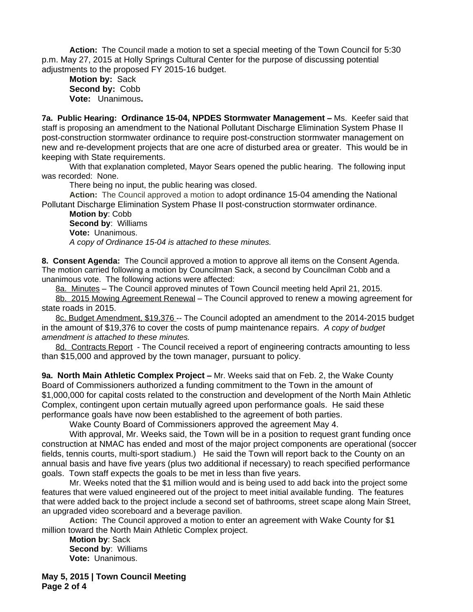**Action:** The Council made a motion to set a special meeting of the Town Council for 5:30 p.m. May 27, 2015 at Holly Springs Cultural Center for the purpose of discussing potential adjustments to the proposed FY 2015-16 budget.

**Motion by:** Sack **Second by:** Cobb **Vote:** Unanimous**.**

**7a. Public Hearing: Ordinance 15-04, NPDES Stormwater Management –** Ms. Keefer said that staff is proposing an amendment to the National Pollutant Discharge Elimination System Phase II post-construction stormwater ordinance to require post-construction stormwater management on new and re-development projects that are one acre of disturbed area or greater. This would be in keeping with State requirements.

With that explanation completed, Mayor Sears opened the public hearing. The following input was recorded: None.

There being no input, the public hearing was closed.

**Action:** The Council approved a motion to adopt ordinance 15-04 amending the National Pollutant Discharge Elimination System Phase II post-construction stormwater ordinance.

**Motion by**: Cobb **Second by**: Williams **Vote:** Unanimous. *A copy of Ordinance 15-04 is attached to these minutes.*

**8. Consent Agenda:** The Council approved a motion to approve all items on the Consent Agenda. The motion carried following a motion by Councilman Sack, a second by Councilman Cobb and a unanimous vote. The following actions were affected:

8a. Minutes – The Council approved minutes of Town Council meeting held April 21, 2015.

8b. 2015 Mowing Agreement Renewal – The Council approved to renew a mowing agreement for state roads in 2015.

8c. Budget Amendment, \$19,376 -- The Council adopted an amendment to the 2014-2015 budget in the amount of \$19,376 to cover the costs of pump maintenance repairs. *A copy of budget amendment is attached to these minutes.*

8d. Contracts Report - The Council received a report of engineering contracts amounting to less than \$15,000 and approved by the town manager, pursuant to policy.

**9a. North Main Athletic Complex Project –** Mr. Weeks said that on Feb. 2, the Wake County Board of Commissioners authorized a funding commitment to the Town in the amount of \$1,000,000 for capital costs related to the construction and development of the North Main Athletic Complex, contingent upon certain mutually agreed upon performance goals. He said these performance goals have now been established to the agreement of both parties.

Wake County Board of Commissioners approved the agreement May 4.

With approval, Mr. Weeks said, the Town will be in a position to request grant funding once construction at NMAC has ended and most of the major project components are operational (soccer fields, tennis courts, multi-sport stadium.) He said the Town will report back to the County on an annual basis and have five years (plus two additional if necessary) to reach specified performance goals. Town staff expects the goals to be met in less than five years.

Mr. Weeks noted that the \$1 million would and is being used to add back into the project some features that were valued engineered out of the project to meet initial available funding. The features that were added back to the project include a second set of bathrooms, street scape along Main Street, an upgraded video scoreboard and a beverage pavilion.

**Action:** The Council approved a motion to enter an agreement with Wake County for \$1 million toward the North Main Athletic Complex project.

**Motion by**: Sack **Second by**: Williams **Vote:** Unanimous.

**May 5, 2015 | Town Council Meeting Page 2 of 4**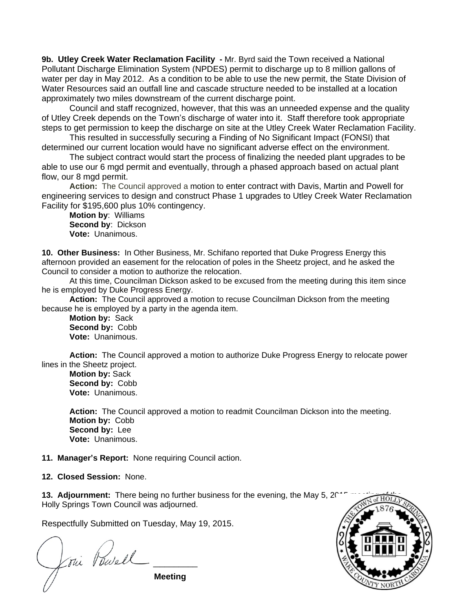**9b. Utley Creek Water Reclamation Facility -** Mr. Byrd said the Town received a National Pollutant Discharge Elimination System (NPDES) permit to discharge up to 8 million gallons of water per day in May 2012. As a condition to be able to use the new permit, the State Division of Water Resources said an outfall line and cascade structure needed to be installed at a location approximately two miles downstream of the current discharge point.

Council and staff recognized, however, that this was an unneeded expense and the quality of Utley Creek depends on the Town's discharge of water into it. Staff therefore took appropriate steps to get permission to keep the discharge on site at the Utley Creek Water Reclamation Facility.

This resulted in successfully securing a Finding of No Significant Impact (FONSI) that determined our current location would have no significant adverse effect on the environment.

The subject contract would start the process of finalizing the needed plant upgrades to be able to use our 6 mgd permit and eventually, through a phased approach based on actual plant flow, our 8 mgd permit.

**Action:** The Council approved a motion to enter contract with Davis, Martin and Powell for engineering services to design and construct Phase 1 upgrades to Utley Creek Water Reclamation Facility for \$195,600 plus 10% contingency.

**Motion by**: Williams **Second by**: Dickson **Vote:** Unanimous.

**10. Other Business:** In Other Business, Mr. Schifano reported that Duke Progress Energy this afternoon provided an easement for the relocation of poles in the Sheetz project, and he asked the Council to consider a motion to authorize the relocation.

At this time, Councilman Dickson asked to be excused from the meeting during this item since he is employed by Duke Progress Energy.

**Action:** The Council approved a motion to recuse Councilman Dickson from the meeting because he is employed by a party in the agenda item.

**Motion by:** Sack **Second by:** Cobb **Vote:** Unanimous.

**Action:** The Council approved a motion to authorize Duke Progress Energy to relocate power lines in the Sheetz project.

**Motion by:** Sack **Second by:** Cobb **Vote:** Unanimous.

**Action:** The Council approved a motion to readmit Councilman Dickson into the meeting. **Motion by:** Cobb **Second by:** Lee **Vote:** Unanimous.

**11. Manager's Report:** None requiring Council action.

**12. Closed Session:** None.

**13. Adjournment:** There being no further business for the evening, the May 5, 2017 Holly Springs Town Council was adjourned.

Respectfully Submitted on Tuesday, May 19, 2015.

**Page 3 of 4** Joui Powell

**Meeting**